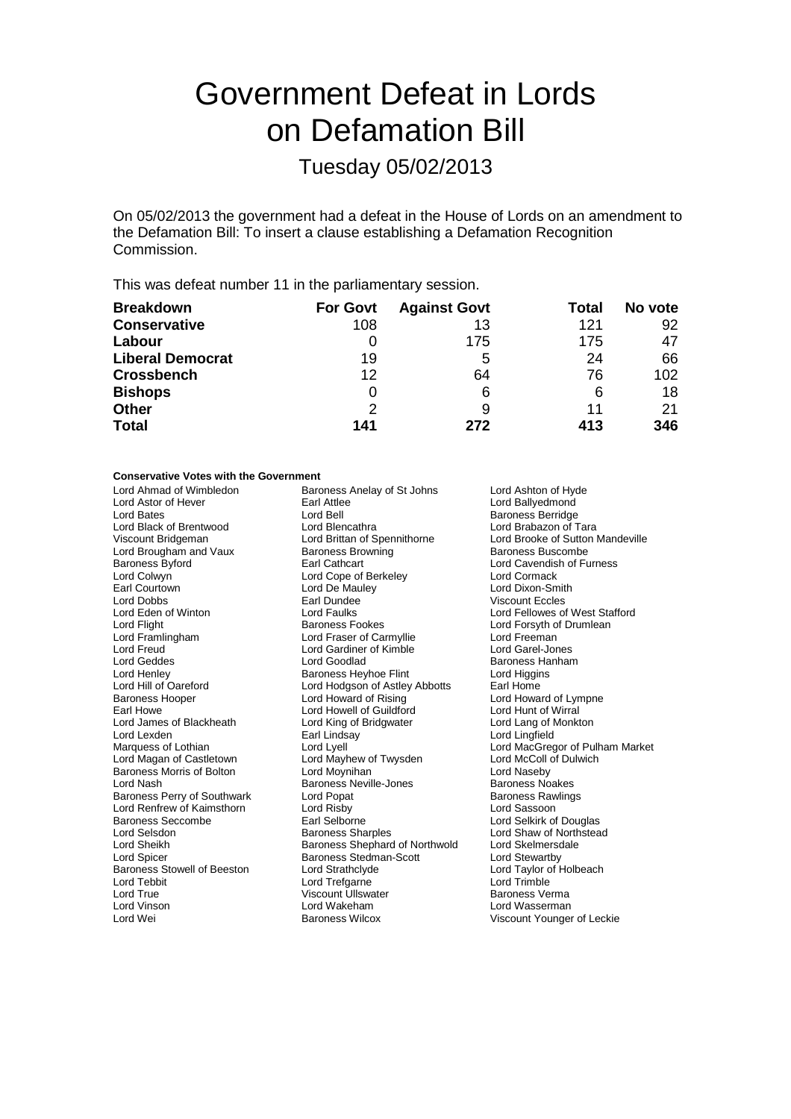## Government Defeat in Lords on Defamation Bill

Tuesday 05/02/2013

On 05/02/2013 the government had a defeat in the House of Lords on an amendment to the Defamation Bill: To insert a clause establishing a Defamation Recognition Commission.

This was defeat number 11 in the parliamentary session.

| <b>Breakdown</b>        | <b>For Govt</b> | <b>Against Govt</b> | Total | No vote          |
|-------------------------|-----------------|---------------------|-------|------------------|
| <b>Conservative</b>     | 108             | 13                  | 121   | 92               |
| Labour                  | 0               | 175                 | 175   | 47               |
| <b>Liberal Democrat</b> | 19              | 5                   | 24    | 66               |
| <b>Crossbench</b>       | 12              | 64                  | 76    | 102 <sub>1</sub> |
| <b>Bishops</b>          | O               | 6                   | 6     | 18               |
| Other                   | 2               | 9                   | 11    | 21               |
| <b>Total</b>            | 141             | 272                 | 413   | 346              |

## **Conservative Votes with the Government**

| Lord Ahmad of Wimbledon            | Baroness Anelay of St Johns    | Lord Ashton of Hyde              |  |
|------------------------------------|--------------------------------|----------------------------------|--|
| Lord Astor of Hever                | Earl Attlee                    | Lord Ballyedmond                 |  |
| Lord Bates                         | Lord Bell                      | <b>Baroness Berridge</b>         |  |
| Lord Black of Brentwood            | Lord Blencathra                | Lord Brabazon of Tara            |  |
| Viscount Bridgeman                 | Lord Brittan of Spennithorne   | Lord Brooke of Sutton Mandeville |  |
| Lord Brougham and Vaux             | <b>Baroness Browning</b>       | <b>Baroness Buscombe</b>         |  |
| Baroness Byford                    | Earl Cathcart                  | Lord Cavendish of Furness        |  |
| Lord Colwyn                        | Lord Cope of Berkeley          | Lord Cormack                     |  |
| Earl Courtown                      | Lord De Mauley                 | Lord Dixon-Smith                 |  |
| Lord Dobbs                         | Earl Dundee                    | <b>Viscount Eccles</b>           |  |
| Lord Eden of Winton                | Lord Faulks                    | Lord Fellowes of West Stafford   |  |
| Lord Flight                        | <b>Baroness Fookes</b>         | Lord Forsyth of Drumlean         |  |
| Lord Framlingham                   | Lord Fraser of Carmyllie       | Lord Freeman                     |  |
| Lord Freud                         | Lord Gardiner of Kimble        | Lord Garel-Jones                 |  |
| Lord Geddes                        | Lord Goodlad                   | <b>Baroness Hanham</b>           |  |
| Lord Henley                        | <b>Baroness Heyhoe Flint</b>   | Lord Higgins                     |  |
| Lord Hill of Oareford              | Lord Hodgson of Astley Abbotts | Earl Home                        |  |
| Baroness Hooper                    | Lord Howard of Rising          | Lord Howard of Lympne            |  |
| Earl Howe                          | Lord Howell of Guildford       | Lord Hunt of Wirral              |  |
| Lord James of Blackheath           | Lord King of Bridgwater        | Lord Lang of Monkton             |  |
| Lord Lexden                        | Earl Lindsay                   | Lord Lingfield                   |  |
| Marquess of Lothian                | Lord Lyell                     | Lord MacGregor of Pulham Market  |  |
| Lord Magan of Castletown           | Lord Mayhew of Twysden         | Lord McColl of Dulwich           |  |
| <b>Baroness Morris of Bolton</b>   | Lord Moynihan                  | Lord Naseby                      |  |
| Lord Nash                          | <b>Baroness Neville-Jones</b>  | <b>Baroness Noakes</b>           |  |
| Baroness Perry of Southwark        | Lord Popat                     | <b>Baroness Rawlings</b>         |  |
| Lord Renfrew of Kaimsthorn         | Lord Risby                     | Lord Sassoon                     |  |
| Baroness Seccombe                  | Earl Selborne                  | Lord Selkirk of Douglas          |  |
| Lord Selsdon                       | <b>Baroness Sharples</b>       | Lord Shaw of Northstead          |  |
| Lord Sheikh                        | Baroness Shephard of Northwold | Lord Skelmersdale                |  |
| Lord Spicer                        | Baroness Stedman-Scott         | Lord Stewartby                   |  |
| <b>Baroness Stowell of Beeston</b> | Lord Strathclyde               | Lord Taylor of Holbeach          |  |
| Lord Tebbit                        | Lord Trefgarne                 | Lord Trimble                     |  |
| Lord True                          | <b>Viscount Ullswater</b>      | Baroness Verma                   |  |
| Lord Vinson                        | Lord Wakeham                   | Lord Wasserman                   |  |
| Lord Wei                           | <b>Baroness Wilcox</b>         | Viscount Younger of Leckie       |  |
|                                    |                                |                                  |  |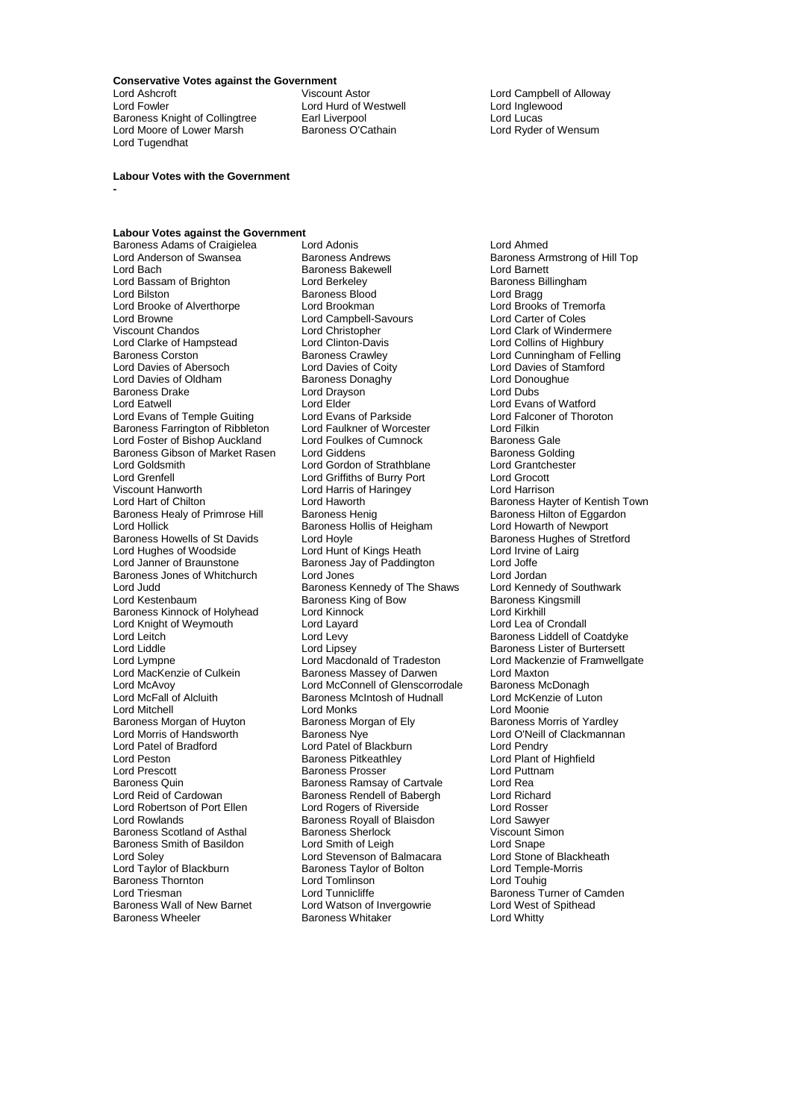**Conservative Votes against the Government**

Lord Ashcroft **Contains Container Container Container** Lord Campbell of Alloway<br>
Lord Campbell of Alloway<br>
Lord Container Lord Hurd of Westwell<br>
Lord Campbell of Alloway Baroness Knight of Collingtree Earl Liverpool<br>
Lord Moore of Lower Marsh Baroness O'Cathain Lord Ryder of Wensum Lord Moore of Lower Marsh Lord Tugendhat

**-**

Lord Hurd of Westwell Lord Inglew<br>
Earl Liverpool Lord Lucas

**Labour Votes with the Government**

## **Labour Votes against the Government**

Lord Anderson of Swansea **Baroness Andrews** Baroness Armstrong of Hill Top<br>
Baroness Bakewell
Baroness Andrewell
Baroness Bakewell
Baroness Bakewell
Baroness Andrewell
Baroness Andrewell
Baroness Andrewell
Baroness Andrewe Lord Bassam of Brighton<br>Lord Bilston Lord Bilston<br>
Lord Brooke of Alverthorpe<br>
Lord Brookman Lord Bilston Corporation Baroness Blood<br>
Lord Brooke of Alverthorpe Lord Brookman Lord Brooks of Tremorfa<br>
Lord Brooks of Tremorfa<br>
Lord Campbell-Savours Lord Carter of Coles Lord Browne Lord Campbell-Savours<br>
Viscount Chandos Lord Christopher Lord Clarke of Hampstead Lord Clinton-Davis<br>Baroness Corston Baroness Crawley Lord Davies of Abersoch Lord Davies of Coity Lord Davies of Stamment Cord Davies of Stamment Cord Davies of St<br>
Lord Davies of Oldham Baroness Donaghy Lord Donoughue Lord Davies of Oldham Baroness Donaghy Lord Donoughue Baroness Drake Lord Drayson Lord Dubs Lord Evans of Temple Guiting Lord Evans of Parkside Lord Falconers Farrington of Ribbleton Lord Faulkner of Worcester Lord Filkin Baroness Farrington of Ribbleton Lord Faulkner of Worcester Lord Filkin<br>
Lord Foster of Bishop Auckland Lord Foulkes of Cumnock Baroness Gale Lord Foster of Bishop Auckland Lord Foulkes of Cumnock Baroness Gale<br>Baroness Gibson of Market Rasen Lord Giddens Coldina Baroness Gibson of Market Rasen Lord Giddens Baroness Golding<br>
Lord Goldsmith Lord Gordon of Strathblane Lord Grantchester Lord Goldsmith **Lord Gordon of Strathblane** Lord Grantch<br>Lord Grenfell **Lord Grantchester Cord Cord Cord Cord** Lord Grocott Lord Grenfell Lord Griffiths of Burry Port Lord Grocott Viscount Hanworth Lord Harris of Haringey<br>
Lord Harri Lord Haworth<br>
Lord Haworth Lord Hart of Chilton **Lord Haworth** Lord Haworth Baroness Hayter of Kentish Town<br>
Baroness Healy of Primrose Hill Baroness Henig Baroness Hilton of Eggardon Baroness Healy of Primrose Hill Baroness Henig Baroness Henig Baroness Hilton of Eggardon<br>
Baroness Hollis of Heigham Lord Howarth of Newport Lord Hollick <sup>T</sup><br>Baroness Howells of St Davids The Lord Hovle Corporation Baroness Howells of St Davids Corporation Order Order Baroness Howells of St Davids Lord Hoyle Cord Horse Baroness Hughes of Stretford<br>
Lord Hughes of Woodside Lord Hunt of Kings Heath Lord Irvine of Lairg Lord Hughes of Woodside Lord Hunt of Kings Heath Lord Irvine<br>
Lord Janner of Braunstone Baroness Jay of Paddington Lord Joffe Baroness Jones of Whitchurch Lord Jones<br>
Lord Judd Lord Judd Baroness Kennedy of The Shaws Lord Kennedy of Southwark Lord Kestenbaum **Baroness King of Bow** Baroness Kingsmill<br>Baroness Kinnock of Holyhead Lord Kinnock **Baroness Kingsmill** Baroness Kinnock of Holyhead Lord Kinnock Lord Kinkhill Lord Kirkhill<br>
Lord Knight of Weymouth Lord Lavard Lavard Lord Lea of Crondall Lord Knight of Weymouth<br>
Lord Leitch<br>
Lord Levy Lord Levi Charles Liddell of Coatdyke<br>Lord Levy Lord Levy Baroness Liddell of Coatdyke<br>Lord Liddle Lord Lipsey Lord Lipsey Baroness Lister of Burtersett Lord Liddle Lord Lipsey Lord Lipsey Cord Baroness Lister of Burtersett<br>
Lord Lympne Lord Macdonald of Tradeston Lord Mackenzie of Framwellg Lord Lympne Lord Macdonald of Tradeston Lord Mackenzie of Framwellgate<br>
Lord MacKenzie of Culkein Baroness Massey of Darwen Lord Maxton Lord McAvoy **Lord McConnell of Glenscorrodale** Baroness McDonagh<br>
Lord McFall of Alcluith **Baroness McIntosh of Hudnall** Lord McKenzie of Luton Lord McFall of Alcluith Baroness McIntosh of Hudnall<br>
Lord Mitchell Cord Monks Baroness Morgan of Huyton Baroness Morgan of Huyton<br>
Baroness Nye Lord Morris of Handsworth Baroness Nye **Lord Dividend Corporation Clackmannan**<br>
Lord Patel of Bradford Lord Patel of Blackburn Lord Pendry Lord Patel of Bradford Lord Patel of Blackburn<br>
Lord Peston<br>
Baroness Pitkeathlev Lord Peston Bracillon Baroness Pitkeathley Lord Plant of Highfield<br>
Lord Prescott Baroness Prosser Lord Plant of Highfield<br>
Lord Puttnam Lord Prescott Baroness Prosser Lord Puttnam Baroness Quin **Baroness Ramsay of Cartvale** Cartol Rea<br>
Lord Reid of Cardowan **Baroness Rendell of Babergh** Lord Richard Lord Reid of Cardowan **Baroness Rendell of Babergh** Lord Richard<br>
Lord Robertson of Port Ellen Lord Rogers of Riverside Lord Rosser Lord Robertson of Port Ellen Lord Rogers of Riverside Cord Rosser<br>
Lord Rowlands Cord Camples Royall of Blaisdon Lord Sawyer Baroness Scotland of Asthal Baroness Sherlock The Viscount Simon Viscount Simon Simon Simon Simon Simon Simon<br>Baroness Smith of Basildon Lord Smith of Leigh The Lord Shape Baroness Smith of Basildon Lord Smith of Leigh Lord Snape<br>
Lord Soley Lord Stevenson of Balmacara Lord Stone of Blackheath Lord Soley Lord Stevenson of Balmacara Lord Stone of Blackl<br>Lord Taylor of Blackburn Baroness Taylor of Bolton Lord Temple-Morris Baroness Thornton Lord Tomlinson<br>
Lord Triesman Lord Tunnicliffe Baroness Wall of New Barnet Lord Watson of Invergowrie Lord West of Spithead<br>Baroness Wheeler Baroness Whitaker Lord Whitty

Baroness Adams of Craigielea Lord Adonis Lord Ahmed Example Bakewell **Baroness Bakewell**<br>
Lord Berkeley **Baroness Ballingham** Lord Christopher Lord Clark of Windermere<br>
Lord Clinton-Davis Lord Collins of Highbury Baroness Crawley **Exercise Crawley Lord Cunningham of Felling**<br>
Lord Davies of Coity **Lord Davies of Stamford** Lord Elder<br>
Lord Evans of Parkside<br>
Lord Eatconer of Thoroton Baroness Jay of Paddington Lord Joffe<br>
Lord Jones Lord Jordan Baroness Kennedy of The Shaws Baroness Massey of Darwen Lord Monks<br>
Baroness Morgan of Ely<br>
Baroness Morgan of Ely<br>
Baroness Morris of Yardley Baroness Royall of Blaisdon Lord Sawyer<br>
Baroness Sherlock Corporation Corporation Corporation Baroness Taylor of Bolton<br>Lord Tomlinson Baroness Whitaker

Lord Touhig<br>Baroness Turner of Camden